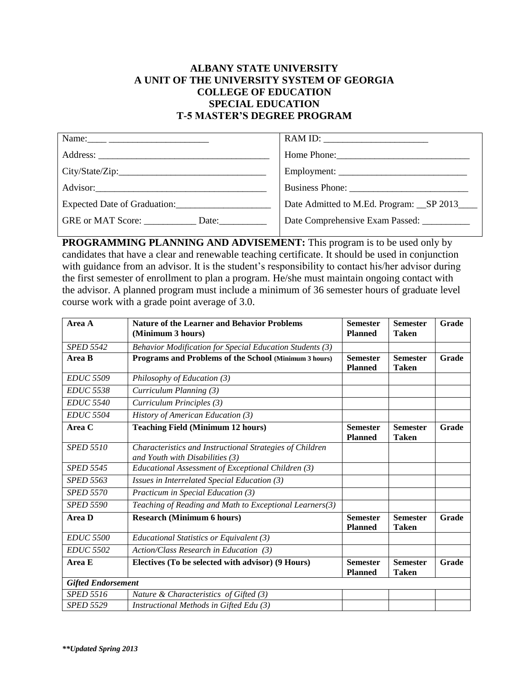## **ALBANY STATE UNIVERSITY A UNIT OF THE UNIVERSITY SYSTEM OF GEORGIA COLLEGE OF EDUCATION SPECIAL EDUCATION T-5 MASTER'S DEGREE PROGRAM**

| Name: $\frac{1}{\sqrt{1-\frac{1}{2}}}\frac{1}{\sqrt{1-\frac{1}{2}}}\frac{1}{\sqrt{1-\frac{1}{2}}}\frac{1}{\sqrt{1-\frac{1}{2}}}\frac{1}{\sqrt{1-\frac{1}{2}}}\frac{1}{\sqrt{1-\frac{1}{2}}}\frac{1}{\sqrt{1-\frac{1}{2}}}\frac{1}{\sqrt{1-\frac{1}{2}}}\frac{1}{\sqrt{1-\frac{1}{2}}}\frac{1}{\sqrt{1-\frac{1}{2}}}\frac{1}{\sqrt{1-\frac{1}{2}}}\frac{1}{\sqrt{1-\frac{1}{2}}}\frac{1}{\sqrt{1-\frac{1}{2}}}\frac{1}{\$ |                                                                                                                                                                                                                                |
|--------------------------------------------------------------------------------------------------------------------------------------------------------------------------------------------------------------------------------------------------------------------------------------------------------------------------------------------------------------------------------------------------------------------------|--------------------------------------------------------------------------------------------------------------------------------------------------------------------------------------------------------------------------------|
|                                                                                                                                                                                                                                                                                                                                                                                                                          | Home Phone: 2008 and 2008 and 2008 and 2008 and 2008 and 2008 and 2008 and 2008 and 2008 and 2008 and 2008 and 2008 and 2008 and 2008 and 2008 and 2008 and 2008 and 2008 and 2008 and 2008 and 2008 and 2008 and 2008 and 200 |
|                                                                                                                                                                                                                                                                                                                                                                                                                          | Employment:                                                                                                                                                                                                                    |
|                                                                                                                                                                                                                                                                                                                                                                                                                          |                                                                                                                                                                                                                                |
| Expected Date of Graduation:                                                                                                                                                                                                                                                                                                                                                                                             | Date Admitted to M.Ed. Program: SP 2013                                                                                                                                                                                        |
| GRE or MAT Score: Date:                                                                                                                                                                                                                                                                                                                                                                                                  | Date Comprehensive Exam Passed: ___________                                                                                                                                                                                    |

**PROGRAMMING PLANNING AND ADVISEMENT:** This program is to be used only by candidates that have a clear and renewable teaching certificate. It should be used in conjunction with guidance from an advisor. It is the student's responsibility to contact his/her advisor during the first semester of enrollment to plan a program. He/she must maintain ongoing contact with the advisor. A planned program must include a minimum of 36 semester hours of graduate level course work with a grade point average of 3.0.

| Area A                    | <b>Nature of the Learner and Behavior Problems</b><br>(Minimum 3 hours)                       | <b>Semester</b><br><b>Planned</b> | <b>Semester</b><br><b>Taken</b> | Grade        |
|---------------------------|-----------------------------------------------------------------------------------------------|-----------------------------------|---------------------------------|--------------|
| <b>SPED 5542</b>          | Behavior Modification for Special Education Students (3)                                      |                                   |                                 |              |
| Area B                    | Programs and Problems of the School (Minimum 3 hours)                                         | <b>Semester</b><br><b>Planned</b> | <b>Semester</b><br><b>Taken</b> | <b>Grade</b> |
| <b>EDUC 5509</b>          | Philosophy of Education (3)                                                                   |                                   |                                 |              |
| <b>EDUC 5538</b>          | Curriculum Planning (3)                                                                       |                                   |                                 |              |
| <b>EDUC 5540</b>          | Curriculum Principles (3)                                                                     |                                   |                                 |              |
| <b>EDUC 5504</b>          | History of American Education (3)                                                             |                                   |                                 |              |
| Area C                    | <b>Teaching Field (Minimum 12 hours)</b>                                                      | <b>Semester</b><br><b>Planned</b> | <b>Semester</b><br><b>Taken</b> | Grade        |
| <b>SPED 5510</b>          | Characteristics and Instructional Strategies of Children<br>and Youth with Disabilities $(3)$ |                                   |                                 |              |
| <b>SPED 5545</b>          | Educational Assessment of Exceptional Children (3)                                            |                                   |                                 |              |
| <b>SPED 5563</b>          | Issues in Interrelated Special Education (3)                                                  |                                   |                                 |              |
| <b>SPED 5570</b>          | Practicum in Special Education (3)                                                            |                                   |                                 |              |
| <b>SPED 5590</b>          | Teaching of Reading and Math to Exceptional Learners(3)                                       |                                   |                                 |              |
| Area D                    | <b>Research (Minimum 6 hours)</b>                                                             | <b>Semester</b><br><b>Planned</b> | <b>Semester</b><br><b>Taken</b> | Grade        |
| <b>EDUC 5500</b>          | Educational Statistics or Equivalent (3)                                                      |                                   |                                 |              |
| <b>EDUC 5502</b>          | Action/Class Research in Education (3)                                                        |                                   |                                 |              |
| Area E                    | Electives (To be selected with advisor) (9 Hours)                                             | <b>Semester</b><br><b>Planned</b> | <b>Semester</b><br><b>Taken</b> | Grade        |
| <b>Gifted Endorsement</b> |                                                                                               |                                   |                                 |              |
| <b>SPED 5516</b>          | Nature & Characteristics of Gifted (3)                                                        |                                   |                                 |              |
| <b>SPED 5529</b>          | Instructional Methods in Gifted Edu (3)                                                       |                                   |                                 |              |